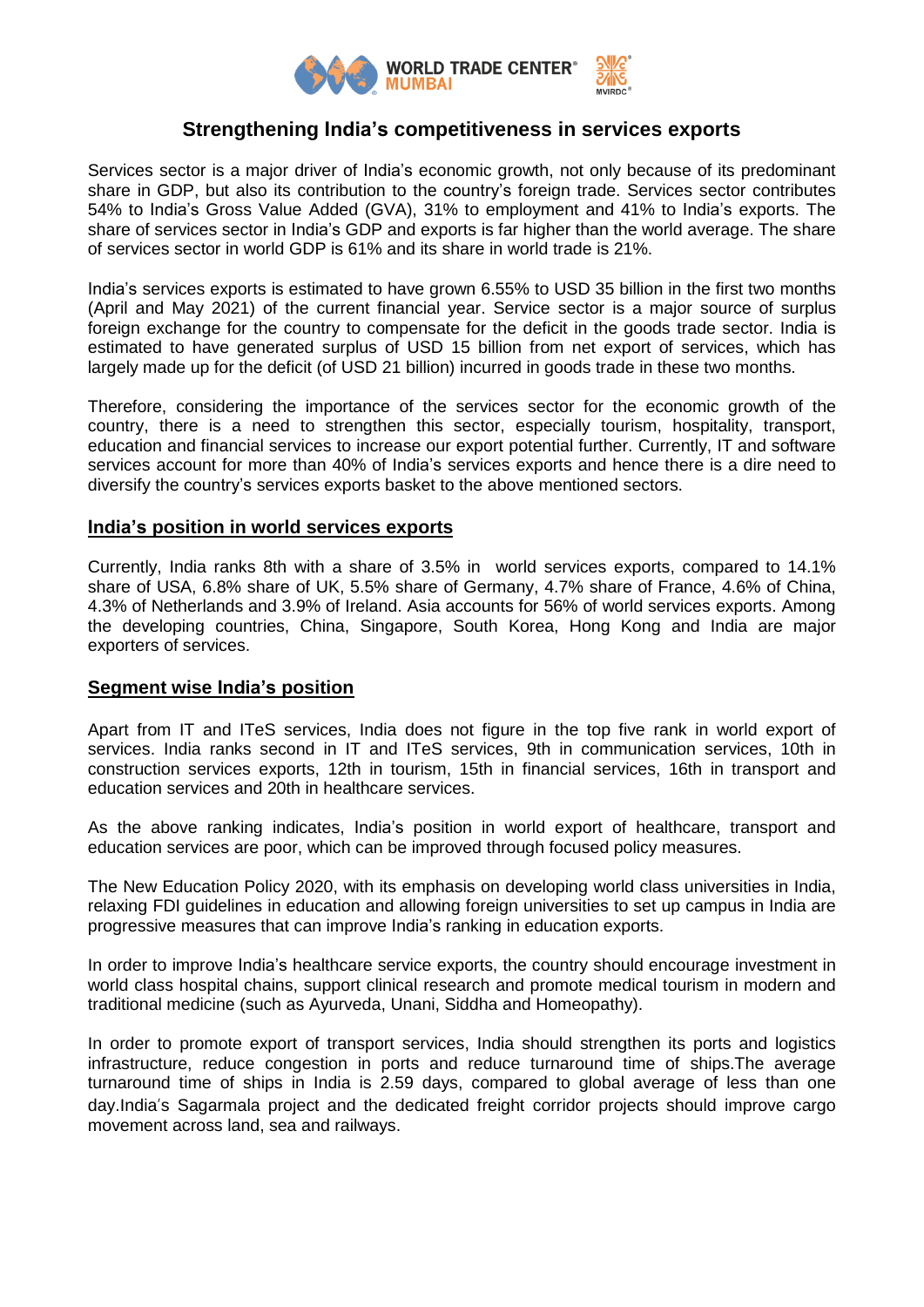

## **Strengthening India's competitiveness in services exports**

Services sector is a major driver of India's economic growth, not only because of its predominant share in GDP, but also its contribution to the country's foreign trade. Services sector contributes 54% to India's Gross Value Added (GVA), 31% to employment and 41% to India's exports. The share of services sector in India's GDP and exports is far higher than the world average. The share of services sector in world GDP is 61% and its share in world trade is 21%.

India's services exports is estimated to have grown 6.55% to USD 35 billion in the first two months (April and May 2021) of the current financial year. Service sector is a major source of surplus foreign exchange for the country to compensate for the deficit in the goods trade sector. India is estimated to have generated surplus of USD 15 billion from net export of services, which has largely made up for the deficit (of USD 21 billion) incurred in goods trade in these two months.

Therefore, considering the importance of the services sector for the economic growth of the country, there is a need to strengthen this sector, especially tourism, hospitality, transport, education and financial services to increase our export potential further. Currently, IT and software services account for more than 40% of India's services exports and hence there is a dire need to diversify the country's services exports basket to the above mentioned sectors.

#### **India's position in world services exports**

Currently, India ranks 8th with a share of 3.5% in world services exports, compared to 14.1% share of USA, 6.8% share of UK, 5.5% share of Germany, 4.7% share of France, 4.6% of China, 4.3% of Netherlands and 3.9% of Ireland. Asia accounts for 56% of world services exports. Among the developing countries, China, Singapore, South Korea, Hong Kong and India are major exporters of services.

### **Segment wise India's position**

Apart from IT and ITeS services, India does not figure in the top five rank in world export of services. India ranks second in IT and ITeS services, 9th in communication services, 10th in construction services exports, 12th in tourism, 15th in financial services, 16th in transport and education services and 20th in healthcare services.

As the above ranking indicates, India's position in world export of healthcare, transport and education services are poor, which can be improved through focused policy measures.

The New Education Policy 2020, with its emphasis on developing world class universities in India, relaxing FDI guidelines in education and allowing foreign universities to set up campus in India are progressive measures that can improve India's ranking in education exports.

In order to improve India's healthcare service exports, the country should encourage investment in world class hospital chains, support clinical research and promote medical tourism in modern and traditional medicine (such as Ayurveda, Unani, Siddha and Homeopathy).

In order to promote export of transport services, India should strengthen its ports and logistics infrastructure, reduce congestion in ports and reduce turnaround time of ships.The average turnaround time of ships in India is 2.59 days, compared to global average of less than one day.India's Sagarmala project and the dedicated freight corridor projects should improve cargo movement across land, sea and railways.